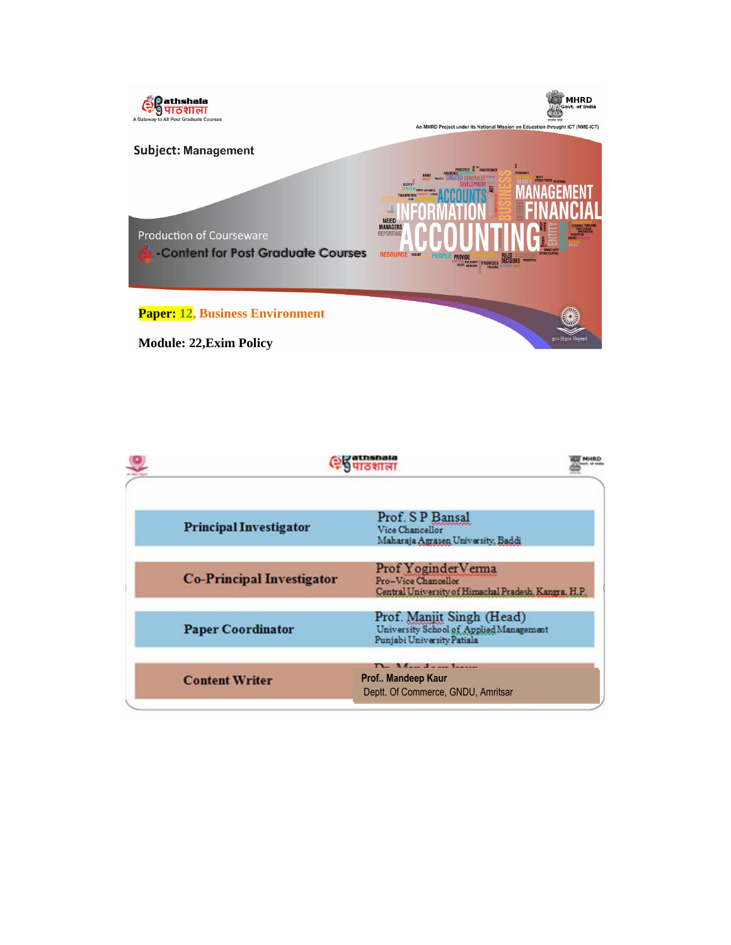

|                                  | 9 पाठशाल                                                                                           |
|----------------------------------|----------------------------------------------------------------------------------------------------|
| <b>Principal Investigator</b>    | Prof. S P Bansal<br>Vice Chancellor<br>Maharaja Agrasen University, Baddi                          |
| <b>Co-Principal Investigator</b> | Prof Yoginder Verma<br>Pro-Vice Chancellor<br>Central University of Himachal Pradesh, Kangra, H.P. |
| <b>Paper Coordinator</b>         | Prof. Manjit Singh (Head)<br>University School of Applied Management<br>Punjabi University Patiala |
| <b>Content Writer</b>            | <b>The Manual complete the</b><br>Prof Mandeep Kaur<br>Deptt. Of Commerce, GNDU, Amritsar          |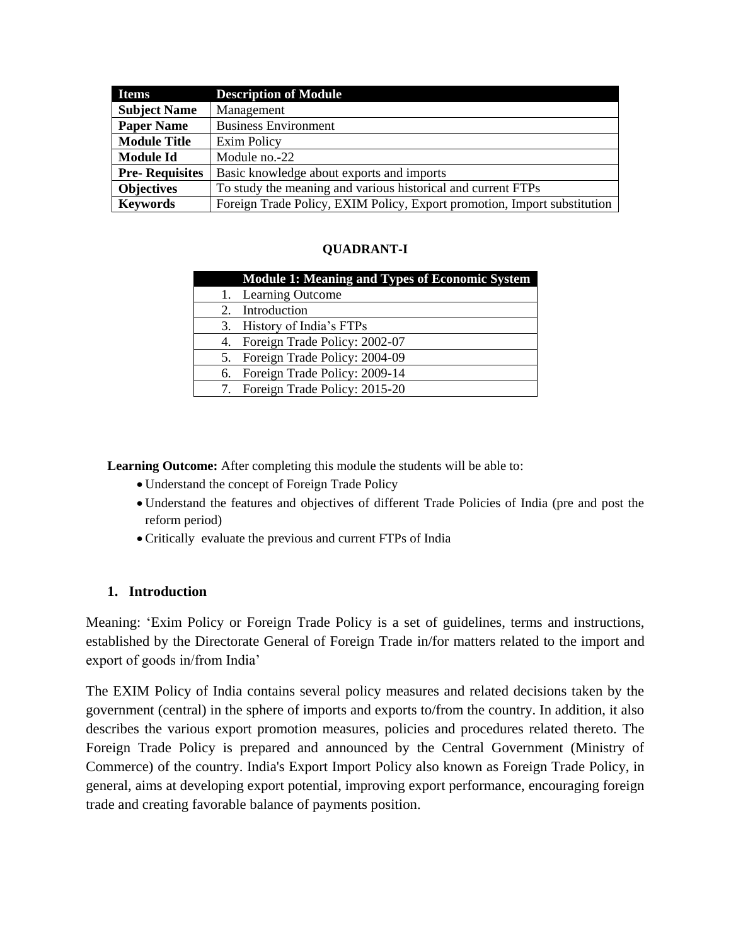| <b>Items</b>          | <b>Description of Module</b>                                             |
|-----------------------|--------------------------------------------------------------------------|
| <b>Subject Name</b>   | Management                                                               |
| <b>Paper Name</b>     | <b>Business Environment</b>                                              |
| <b>Module Title</b>   | Exim Policy                                                              |
| <b>Module Id</b>      | Module no.-22                                                            |
| <b>Pre-Requisites</b> | Basic knowledge about exports and imports                                |
| <b>Objectives</b>     | To study the meaning and various historical and current FTPs             |
| <b>Keywords</b>       | Foreign Trade Policy, EXIM Policy, Export promotion, Import substitution |

#### **QUADRANT-I**

|    | <b>Module 1: Meaning and Types of Economic System</b> |
|----|-------------------------------------------------------|
|    | 1. Learning Outcome                                   |
|    | 2. Introduction                                       |
|    | 3. History of India's FTPs                            |
|    | 4. Foreign Trade Policy: 2002-07                      |
|    | 5. Foreign Trade Policy: 2004-09                      |
| 6. | Foreign Trade Policy: 2009-14                         |
|    | 7. Foreign Trade Policy: 2015-20                      |

**Learning Outcome:** After completing this module the students will be able to:

- Understand the concept of Foreign Trade Policy
- Understand the features and objectives of different Trade Policies of India (pre and post the reform period)
- Critically evaluate the previous and current FTPs of India

#### **1. Introduction**

Meaning: 'Exim Policy or Foreign Trade Policy is a set of guidelines, terms and instructions, established by the Directorate General of Foreign Trade in/for matters related to the import and export of goods in/from India'

The [EXIM Policy of India c](http://www.eximguru.com/exim/dgft/exim-policy/2008/default.aspx)ontains several policy measures and related decisions taken by the government (central) in the sphere of imports and exports to/from the country. In addition, it also describes the various [export promotion measures,](http://www.eximguru.com/exim/dgft/exim-policy/2008/chapter_3_promotional_measures.aspx) policies and procedures related thereto. The Foreign Trade Policy is prepared and announced by the Central Government (Ministry of Commerce) of the country. India's Export Import Policy also known as Foreign Trade Policy, in general, aims at developing export potential, improving export performance, encouraging foreign trade and creating favorable balance of payments position.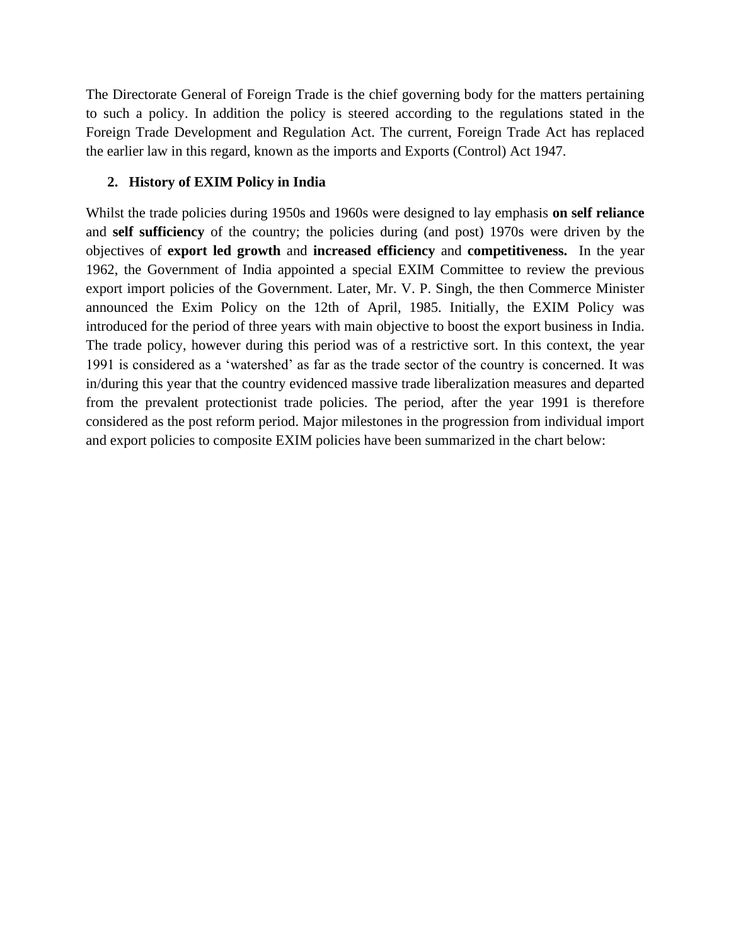The Directorate General of Foreign Trade is the chief governing body for the matters pertaining to such a policy. In addition the policy is steered according to the regulations stated in the Foreign Trade Development and Regulation Act. The current, Foreign Trade Act has replaced the earlier law in this regard, known as the imports and Exports (Control) Act 1947.

#### **2. History of EXIM Policy in India**

Whilst the trade policies during 1950s and 1960s were designed to lay emphasis **on self reliance**  and **self sufficiency** of the country; the policies during (and post) 1970s were driven by the objectives of **export led growth** and **increased efficiency** and **competitiveness.** In the year 1962, the Government of India appointed a special EXIM Committee to review the previous export import policies of the Government. Later, Mr. V. P. Singh, the then Commerce Minister announced the Exim Policy on the 12th of April, 1985. Initially, the EXIM Policy was introduced for the period of three years with main objective to boost the [export business](http://www.eximguru.com/exim/guides/how-to-export/default.aspx) in India. The trade policy, however during this period was of a restrictive sort. In this context, the year 1991 is considered as a 'watershed' as far as the trade sector of the country is concerned. It was in/during this year that the country evidenced massive trade liberalization measures and departed from the prevalent protectionist trade policies. The period, after the year 1991 is therefore considered as the post reform period. Major milestones in the progression from individual import and export policies to composite EXIM policies have been summarized in the chart below: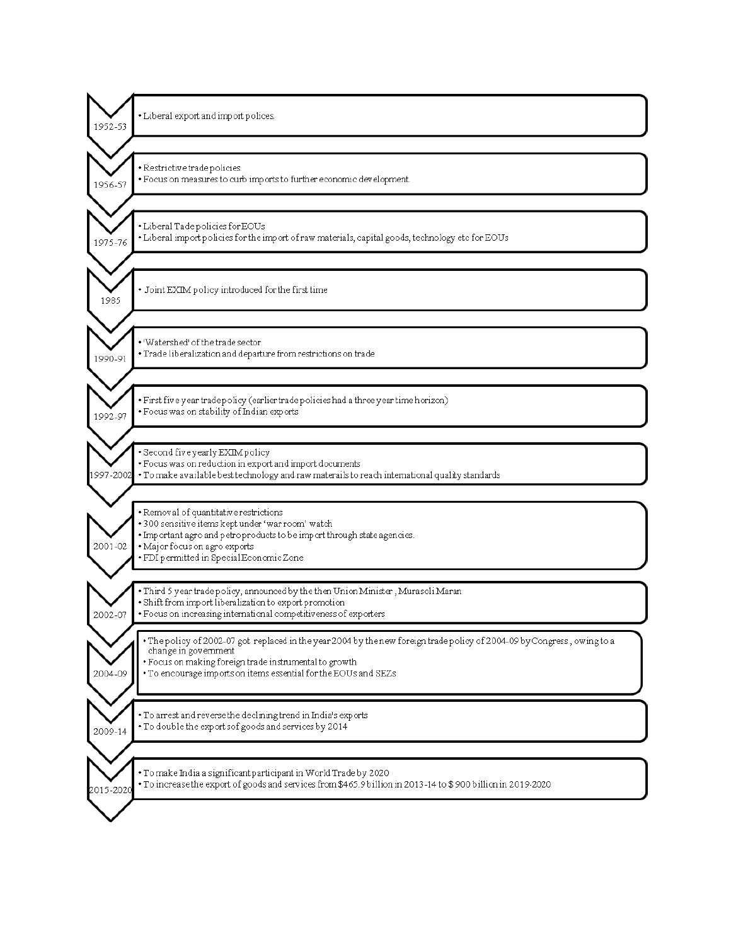| · Liberal export and import polices.                                                                                                                                                                                                                                          |
|-------------------------------------------------------------------------------------------------------------------------------------------------------------------------------------------------------------------------------------------------------------------------------|
| · Restrictive trade policies.<br>· Focus on measures to curb imports to further economic development.                                                                                                                                                                         |
| · Liberal Tade policies for EOUs<br>. Liberal import policies for the import of raw materials, capital goods, technology etc for EOUs                                                                                                                                         |
| · Joint EXIM policy introduced for the first time                                                                                                                                                                                                                             |
| • 'Watershed' of the trade sector<br>· Trade liberalization and departure from restrictions on trade                                                                                                                                                                          |
| · First five year tradepolicy (earlier tradepolicies had a three year time horizon)<br>· Focus was on stability of Indian exports                                                                                                                                             |
| · Second five yearly EXIM policy<br>· Focus was on reduction in export and import documents<br>. To make available best technology and raw materails to reach international quality standards                                                                                 |
| · Removal of quantitative restrictions<br>· 300 sensitive items kept under 'war room' watch<br>. Important agro and petroproducts to be import through state agencies.<br>· Major focus on agro exports<br>· FDI permitted in Special Economic Zone                           |
| • Third 5 year trade policy, announced by the then Union Minister , Murasoli Maran<br>· Shift from import liberalization to export promotion<br>· Focus on increasing international competitiveness of exporters                                                              |
| . The policy of 2002-07 got replaced in the year 2004 by the new foreign trade policy of 2004-09 by Congress, owing to a<br>change in government<br>· Focus on making foreign trade instrumental to growth<br>. To encourage imports on items essential for the EOUs and SEZs |
| . To arrest and reverse the declining trend in India's exports<br>. To double the export sof goods and services by 2014                                                                                                                                                       |
| • To make India a significant participant in World Trade by 2020<br>To increase the export of goods and services from \$465.9 billion in 2013-14 to \$900 billion in 2019-2020                                                                                                |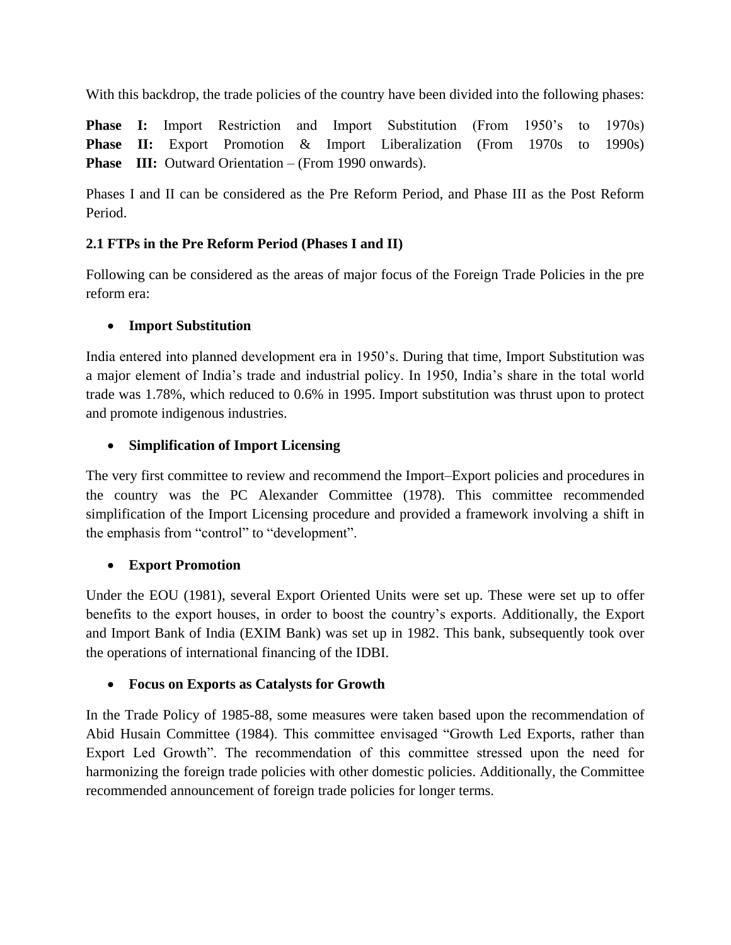With this backdrop, the trade policies of the country have been divided into the following phases:

**Phase I:** Import Restriction and Import Substitution (From 1950's to 1970s) **Phase II:** Export Promotion & Import Liberalization (From 1970s to 1990s) **Phase** III: Outward Orientation – (From 1990 onwards).

Phases I and II can be considered as the Pre Reform Period, and Phase III as the Post Reform Period.

## **2.1 FTPs in the Pre Reform Period (Phases I and II)**

Following can be considered as the areas of major focus of the Foreign Trade Policies in the pre reform era:

## **Import Substitution**

India entered into planned development era in 1950's. During that time, Import Substitution was a major element of India's trade and industrial policy. In 1950, India's share in the total world trade was 1.78%, which reduced to 0.6% in 1995. Import substitution was thrust upon to protect and promote indigenous industries.

## **Simplification of Import Licensing**

The very first committee to review and recommend the Import–Export policies and procedures in the country was the PC Alexander Committee (1978). This committee recommended simplification of the Import Licensing procedure and provided a framework involving a shift in the emphasis from "control" to "development".

# **Export Promotion**

Under the EOU (1981), several Export Oriented Units were set up. These were set up to offer benefits to the export houses, in order to boost the country's exports. Additionally, the Export and Import Bank of India (EXIM Bank) was set up in 1982. This bank, subsequently took over the operations of international financing of the IDBI.

# **Focus on Exports as Catalysts for Growth**

In the Trade Policy of 1985-88, some measures were taken based upon the recommendation of Abid Husain Committee (1984). This committee envisaged "Growth Led Exports, rather than Export Led Growth". The recommendation of this committee stressed upon the need for harmonizing the foreign trade policies with other domestic policies. Additionally, the Committee recommended announcement of foreign trade policies for longer terms.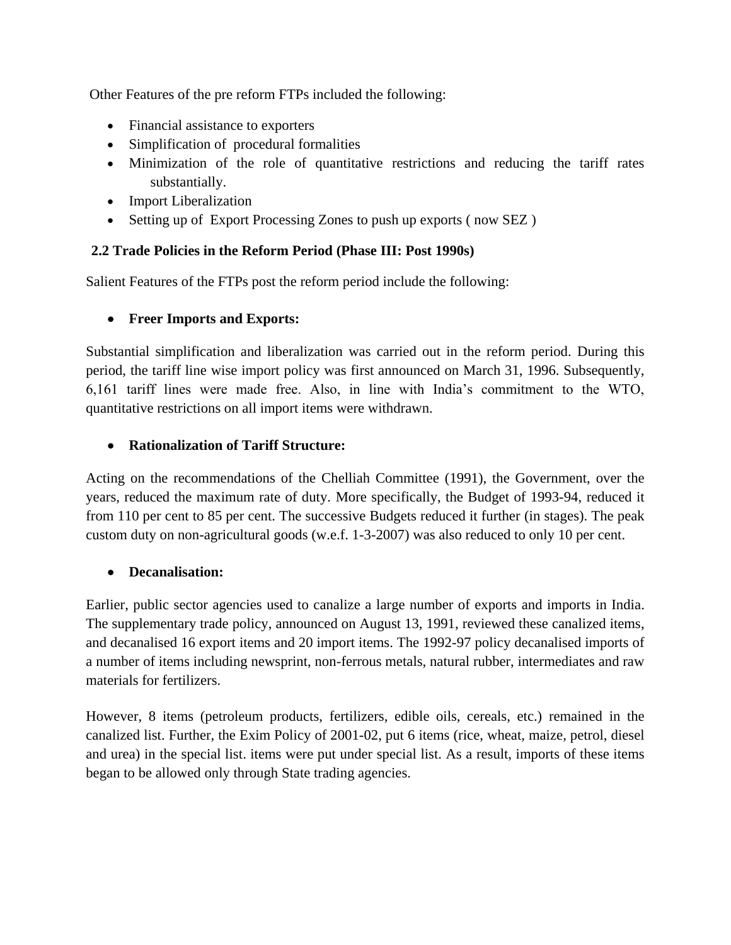Other Features of the pre reform FTPs included the following:

- Financial assistance to exporters
- Simplification of procedural formalities
- Minimization of the role of quantitative restrictions and reducing the tariff rates substantially.
- Import Liberalization
- Setting up of Export Processing Zones to push up exports (now SEZ)

## **2.2 Trade Policies in the Reform Period (Phase III: Post 1990s)**

Salient Features of the FTPs post the reform period include the following:

## **Freer Imports and Exports:**

Substantial simplification and liberalization was carried out in the reform period. During this period, the tariff line wise import policy was first announced on March 31, 1996. Subsequently, 6,161 tariff lines were made free. Also, in line with India's commitment to the WTO, quantitative restrictions on all import items were withdrawn.

### **Rationalization of Tariff Structure:**

Acting on the recommendations of the Chelliah Committee (1991), the Government, over the years, reduced the maximum rate of duty. More specifically, the Budget of 1993-94, reduced it from 110 per cent to 85 per cent. The successive Budgets reduced it further (in stages). The peak custom duty on non-agricultural goods (w.e.f. 1-3-2007) was also reduced to only 10 per cent.

## **Decanalisation:**

Earlier, public sector agencies used to canalize a large number of exports and imports in India. The supplementary trade policy, announced on August 13, 1991, reviewed these canalized items, and decanalised 16 export items and 20 import items. The 1992-97 policy decanalised imports of a number of items including newsprint, non-ferrous metals, natural rubber, intermediates and raw materials for fertilizers.

However, 8 items (petroleum products, fertilizers, edible oils, cereals, etc.) remained in the canalized list. Further, the Exim Policy of 2001-02, put 6 items (rice, wheat, maize, petrol, diesel and urea) in the special list. items were put under special list. As a result, imports of these items began to be allowed only through State trading agencies.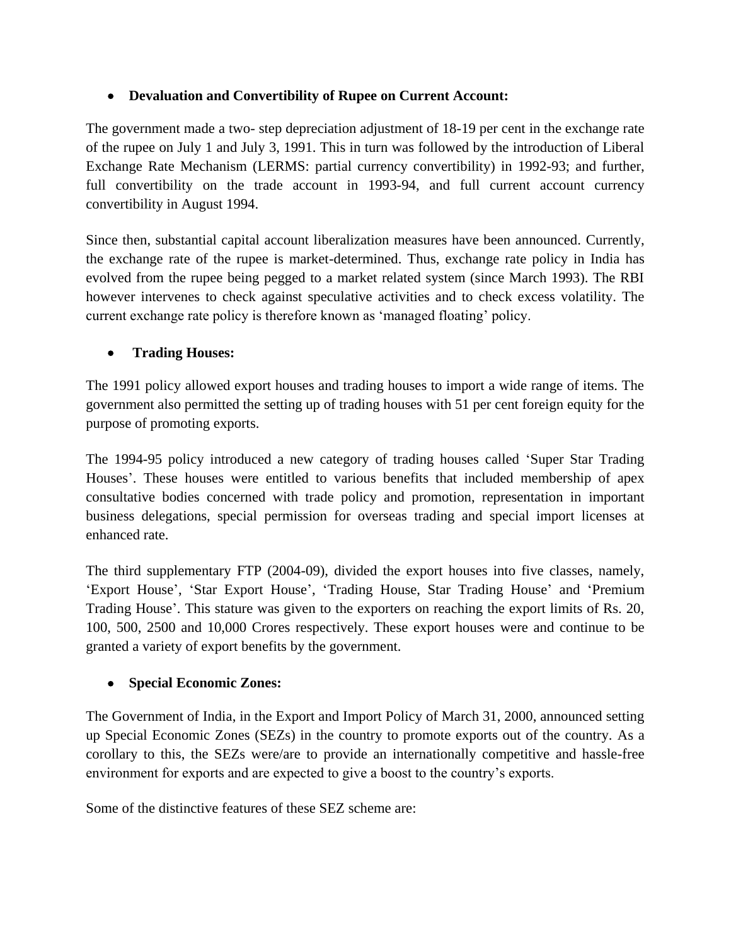## **Devaluation and Convertibility of Rupee on Current Account:**

The government made a two- step depreciation adjustment of 18-19 per cent in the exchange rate of the rupee on July 1 and July 3, 1991. This in turn was followed by the introduction of Liberal Exchange Rate Mechanism (LERMS: partial currency convertibility) in 1992-93; and further, full convertibility on the trade account in 1993-94, and full current account currency convertibility in August 1994.

Since then, substantial capital account liberalization measures have been announced. Currently, the exchange rate of the rupee is market-determined. Thus, exchange rate policy in India has evolved from the rupee being pegged to a market related system (since March 1993). The RBI however intervenes to check against speculative activities and to check excess volatility. The current exchange rate policy is therefore known as 'managed floating' policy.

### **Trading Houses:**

The 1991 policy allowed export houses and trading houses to import a wide range of items. The government also permitted the setting up of trading houses with 51 per cent foreign equity for the purpose of promoting exports.

The 1994-95 policy introduced a new category of trading houses called 'Super Star Trading Houses'. These houses were entitled to various benefits that included membership of apex consultative bodies concerned with trade policy and promotion, representation in important business delegations, special permission for overseas trading and special import licenses at enhanced rate.

The third supplementary FTP (2004-09), divided the export houses into five classes, namely, 'Export House', 'Star Export House', 'Trading House, Star Trading House' and 'Premium Trading House'. This stature was given to the exporters on reaching the export limits of Rs. 20, 100, 500, 2500 and 10,000 Crores respectively. These export houses were and continue to be granted a variety of export benefits by the government.

#### **Special Economic Zones:**

The Government of India, in the Export and Import Policy of March 31, 2000, announced setting up Special Economic Zones (SEZs) in the country to promote exports out of the country. As a corollary to this, the SEZs were/are to provide an internationally competitive and hassle-free environment for exports and are expected to give a boost to the country's exports.

Some of the distinctive features of these SEZ scheme are: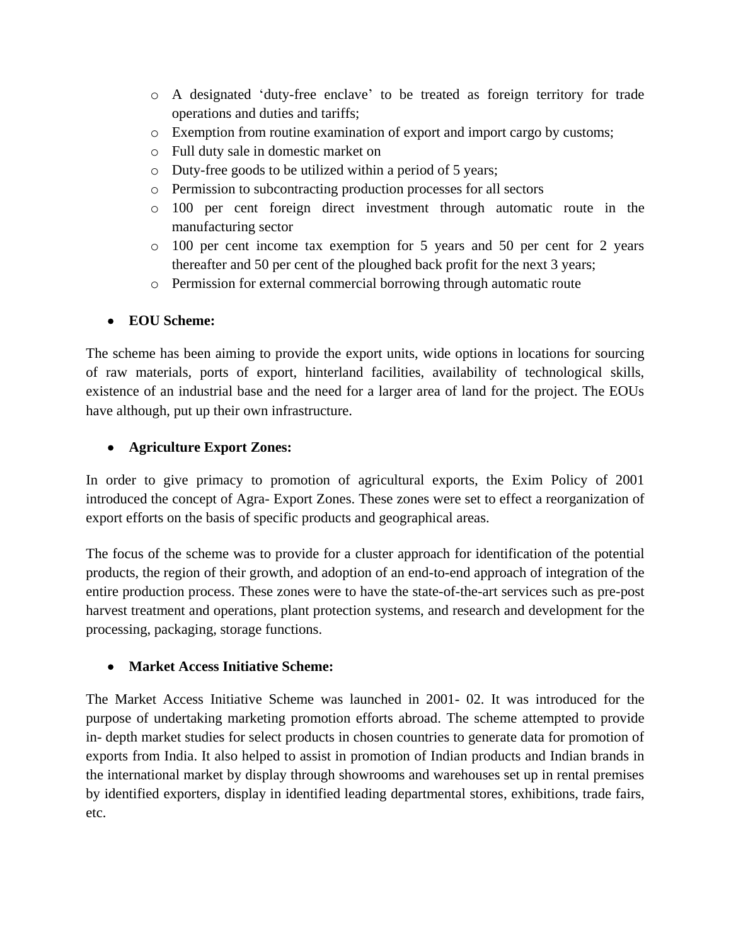- o A designated 'duty-free enclave' to be treated as foreign territory for trade operations and duties and tariffs;
- o Exemption from routine examination of export and import cargo by customs;
- o Full duty sale in domestic market on
- o Duty-free goods to be utilized within a period of 5 years;
- o Permission to subcontracting production processes for all sectors
- o 100 per cent foreign direct investment through automatic route in the manufacturing sector
- $\circ$  100 per cent income tax exemption for 5 years and 50 per cent for 2 years thereafter and 50 per cent of the ploughed back profit for the next 3 years;
- o Permission for external commercial borrowing through automatic route

#### **EOU Scheme:**

The scheme has been aiming to provide the export units, wide options in locations for sourcing of raw materials, ports of export, hinterland facilities, availability of technological skills, existence of an industrial base and the need for a larger area of land for the project. The EOUs have although, put up their own infrastructure.

### **Agriculture Export Zones:**

In order to give primacy to promotion of agricultural exports, the Exim Policy of 2001 introduced the concept of Agra- Export Zones. These zones were set to effect a reorganization of export efforts on the basis of specific products and geographical areas.

The focus of the scheme was to provide for a cluster approach for identification of the potential products, the region of their growth, and adoption of an end-to-end approach of integration of the entire production process. These zones were to have the state-of-the-art services such as pre-post harvest treatment and operations, plant protection systems, and research and development for the processing, packaging, storage functions.

#### **Market Access Initiative Scheme:**

The Market Access Initiative Scheme was launched in 2001- 02. It was introduced for the purpose of undertaking marketing promotion efforts abroad. The scheme attempted to provide in- depth market studies for select products in chosen countries to generate data for promotion of exports from India. It also helped to assist in promotion of Indian products and Indian brands in the international market by display through showrooms and warehouses set up in rental premises by identified exporters, display in identified leading departmental stores, exhibitions, trade fairs, etc.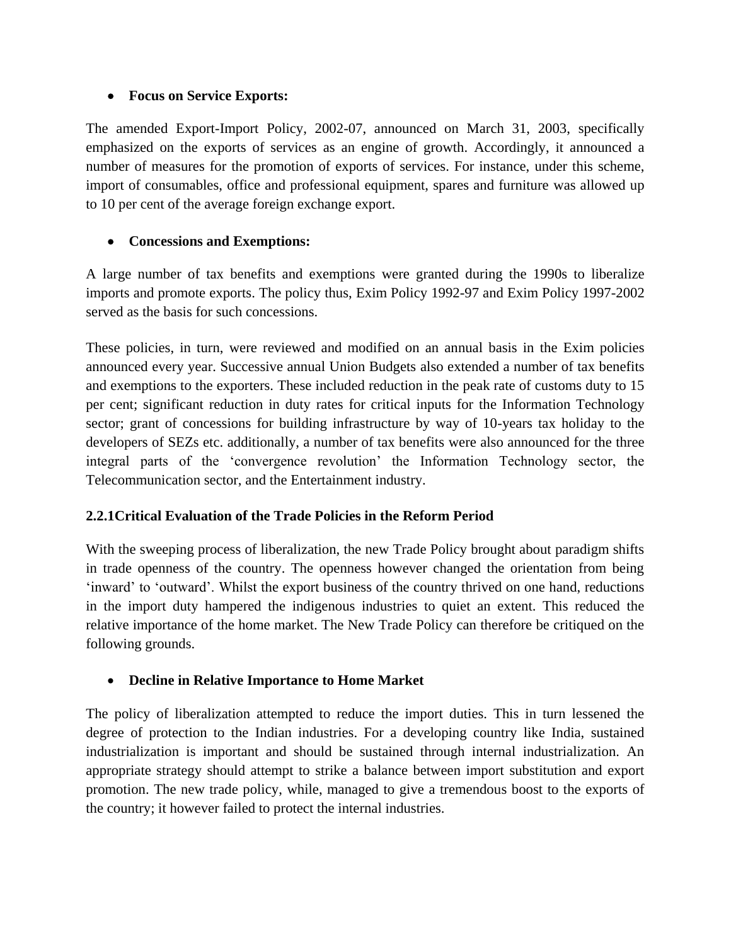#### **Focus on Service Exports:**

The amended Export-Import Policy, 2002-07, announced on March 31, 2003, specifically emphasized on the exports of services as an engine of growth. Accordingly, it announced a number of measures for the promotion of exports of services. For instance, under this scheme, import of consumables, office and professional equipment, spares and furniture was allowed up to 10 per cent of the average foreign exchange export.

## **Concessions and Exemptions:**

A large number of tax benefits and exemptions were granted during the 1990s to liberalize imports and promote exports. The policy thus, Exim Policy 1992-97 and Exim Policy 1997-2002 served as the basis for such concessions.

These policies, in turn, were reviewed and modified on an annual basis in the Exim policies announced every year. Successive annual Union Budgets also extended a number of tax benefits and exemptions to the exporters. These included reduction in the peak rate of customs duty to 15 per cent; significant reduction in duty rates for critical inputs for the Information Technology sector; grant of concessions for building infrastructure by way of 10-years tax holiday to the developers of SEZs etc. additionally, a number of tax benefits were also announced for the three integral parts of the 'convergence revolution' the Information Technology sector, the Telecommunication sector, and the Entertainment industry.

## **2.2.1Critical Evaluation of the Trade Policies in the Reform Period**

With the sweeping process of liberalization, the new Trade Policy brought about paradigm shifts in trade openness of the country. The openness however changed the orientation from being 'inward' to 'outward'. Whilst the export business of the country thrived on one hand, reductions in the import duty hampered the indigenous industries to quiet an extent. This reduced the relative importance of the home market. The New Trade Policy can therefore be critiqued on the following grounds.

## **Decline in Relative Importance to Home Market**

The policy of liberalization attempted to reduce the import duties. This in turn lessened the degree of protection to the Indian industries. For a developing country like India, sustained industrialization is important and should be sustained through internal industrialization. An appropriate strategy should attempt to strike a balance between import substitution and export promotion. The new trade policy, while, managed to give a tremendous boost to the exports of the country; it however failed to protect the internal industries.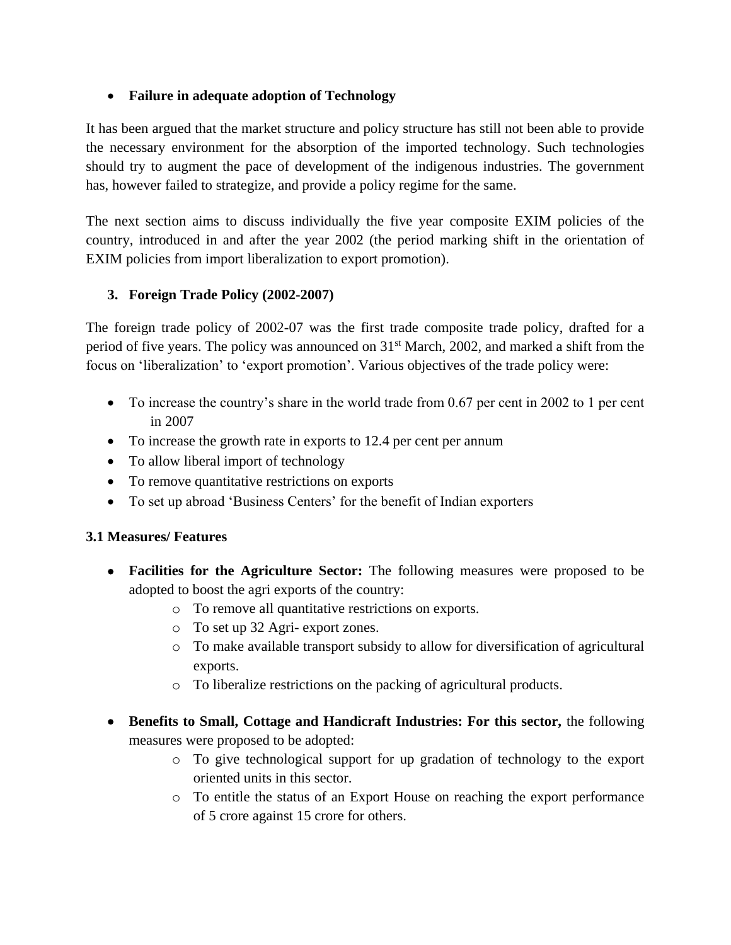### **Failure in adequate adoption of Technology**

It has been argued that the market structure and policy structure has still not been able to provide the necessary environment for the absorption of the imported technology. Such technologies should try to augment the pace of development of the indigenous industries. The government has, however failed to strategize, and provide a policy regime for the same.

The next section aims to discuss individually the five year composite EXIM policies of the country, introduced in and after the year 2002 (the period marking shift in the orientation of EXIM policies from import liberalization to export promotion).

### **3. Foreign Trade Policy (2002-2007)**

The foreign trade policy of 2002-07 was the first trade composite trade policy, drafted for a period of five years. The policy was announced on  $31<sup>st</sup>$  March, 2002, and marked a shift from the focus on 'liberalization' to 'export promotion'. Various objectives of the trade policy were:

- $\bullet$  To increase the country's share in the world trade from 0.67 per cent in 2002 to 1 per cent in 2007
- To increase the growth rate in exports to 12.4 per cent per annum
- To allow liberal import of technology
- To remove quantitative restrictions on exports
- To set up abroad 'Business Centers' for the benefit of Indian exporters

#### **3.1 Measures/ Features**

- **Facilities for the Agriculture Sector:** The following measures were proposed to be adopted to boost the agri exports of the country:
	- o To remove all quantitative restrictions on exports.
	- o To set up 32 Agri- export zones.
	- o To make available transport subsidy to allow for diversification of agricultural exports.
	- o To liberalize restrictions on the packing of agricultural products.
- **Benefits to Small, Cottage and Handicraft Industries: For this sector,** the following measures were proposed to be adopted:
	- o To give technological support for up gradation of technology to the export oriented units in this sector.
	- o To entitle the status of an Export House on reaching the export performance of 5 crore against 15 crore for others.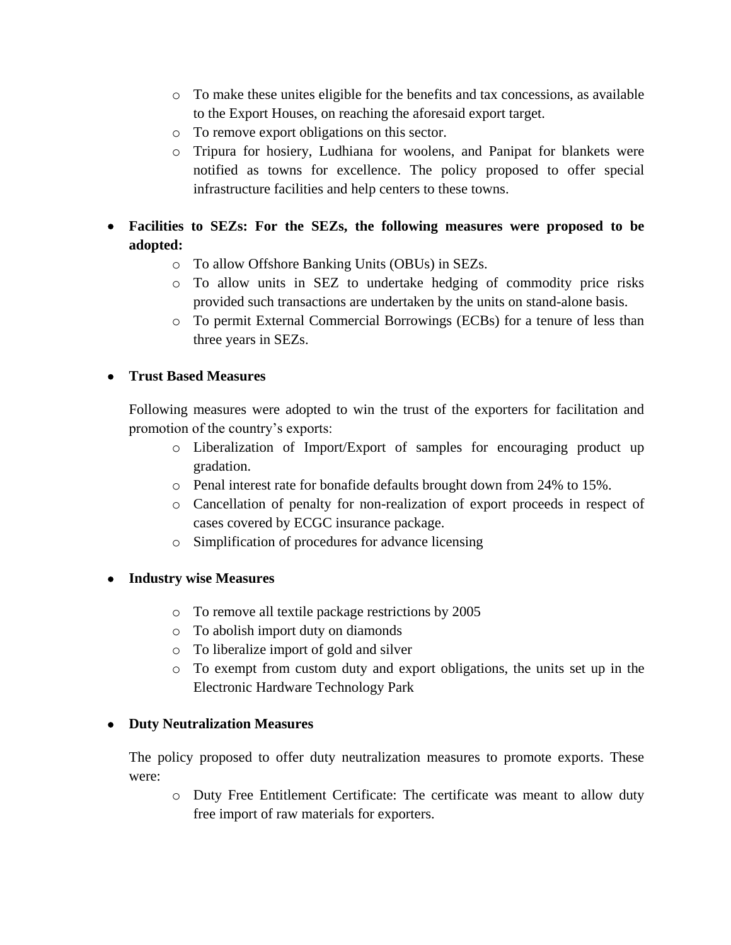- o To make these unites eligible for the benefits and tax concessions, as available to the Export Houses, on reaching the aforesaid export target.
- o To remove export obligations on this sector.
- o Tripura for hosiery, Ludhiana for woolens, and Panipat for blankets were notified as towns for excellence. The policy proposed to offer special infrastructure facilities and help centers to these towns.
- **Facilities to SEZs: For the SEZs, the following measures were proposed to be adopted:**
	- o To allow Offshore Banking Units (OBUs) in SEZs.
	- o To allow units in SEZ to undertake hedging of commodity price risks provided such transactions are undertaken by the units on stand-alone basis.
	- o To permit External Commercial Borrowings (ECBs) for a tenure of less than three years in SEZs.

#### **Trust Based Measures**

Following measures were adopted to win the trust of the exporters for facilitation and promotion of the country's exports:

- o Liberalization of Import/Export of samples for encouraging product up gradation.
- o Penal interest rate for bonafide defaults brought down from 24% to 15%.
- o Cancellation of penalty for non-realization of export proceeds in respect of cases covered by ECGC insurance package.
- o Simplification of procedures for advance licensing

#### **Industry wise Measures**

- o To remove all textile package restrictions by 2005
- o To abolish import duty on diamonds
- o To liberalize import of gold and silver
- o To exempt from custom duty and export obligations, the units set up in the Electronic Hardware Technology Park

#### **Duty Neutralization Measures**

The policy proposed to offer duty neutralization measures to promote exports. These were:

o Duty Free Entitlement Certificate: The certificate was meant to allow duty free import of raw materials for exporters.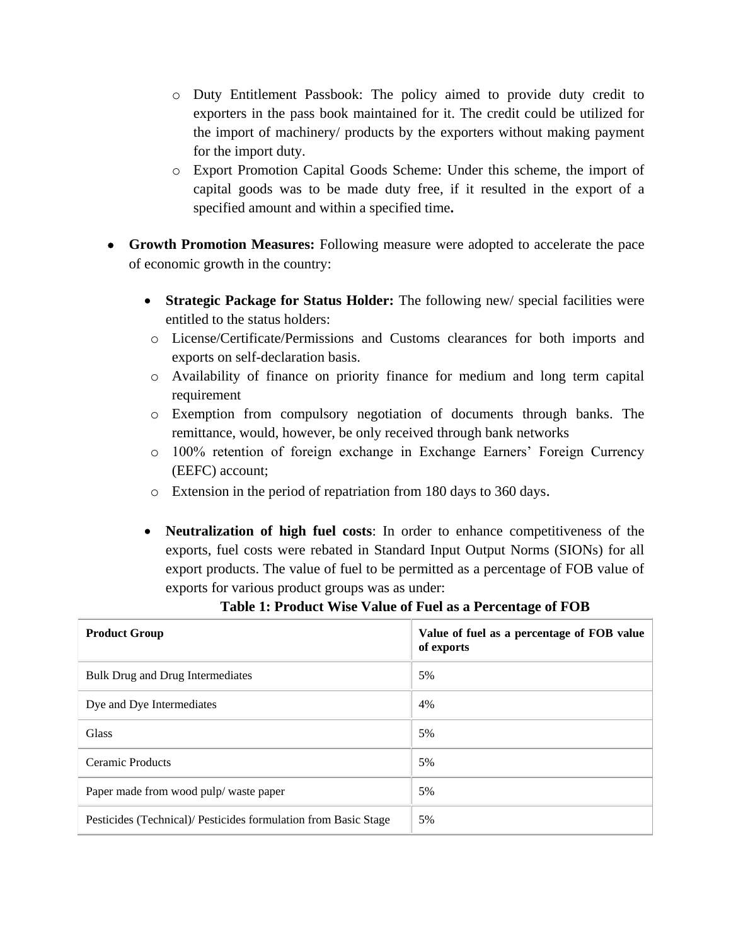- o Duty Entitlement Passbook: The policy aimed to provide duty credit to exporters in the pass book maintained for it. The credit could be utilized for the import of machinery/ products by the exporters without making payment for the import duty.
- o Export Promotion Capital Goods Scheme: Under this scheme, the import of capital goods was to be made duty free, if it resulted in the export of a specified amount and within a specified time**.**
- **Growth Promotion Measures:** Following measure were adopted to accelerate the pace of economic growth in the country:
	- **Strategic Package for Status Holder:** The following new/ special facilities were entitled to the status holders:
	- o License/Certificate/Permissions and Customs clearances for both imports and exports on self-declaration basis.
	- o Availability of finance on priority finance for medium and long term capital requirement
	- o Exemption from compulsory negotiation of documents through banks. The remittance, would, however, be only received through bank networks
	- o 100% retention of foreign exchange in Exchange Earners' Foreign Currency (EEFC) account;
	- o Extension in the period of repatriation from 180 days to 360 days.
	- **Neutralization of high fuel costs**: In order to enhance competitiveness of the exports, fuel costs were rebated in Standard Input Output Norms (SIONs) for all export products. The value of fuel to be permitted as a percentage of FOB value of exports for various product groups was as under:

| <b>Product Group</b>                                            | Value of fuel as a percentage of FOB value<br>of exports |  |  |  |
|-----------------------------------------------------------------|----------------------------------------------------------|--|--|--|
| Bulk Drug and Drug Intermediates                                | 5%                                                       |  |  |  |
| Dye and Dye Intermediates                                       | 4%                                                       |  |  |  |
| Glass                                                           | 5%                                                       |  |  |  |
| Ceramic Products                                                | 5%                                                       |  |  |  |
| Paper made from wood pulp/waste paper                           | 5%                                                       |  |  |  |
| Pesticides (Technical)/ Pesticides formulation from Basic Stage | 5%                                                       |  |  |  |

#### **Table 1: Product Wise Value of Fuel as a Percentage of FOB**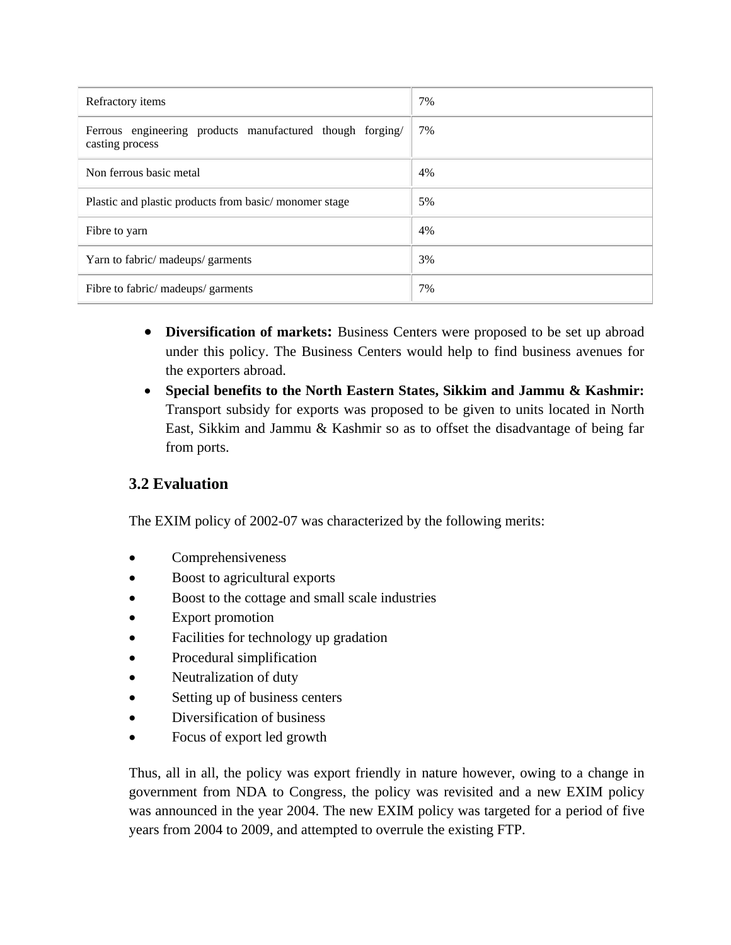| Refractory items                                                             | 7% |
|------------------------------------------------------------------------------|----|
| Ferrous engineering products manufactured though forging/<br>casting process | 7% |
| Non ferrous basic metal                                                      | 4% |
| Plastic and plastic products from basic/monomer stage                        | 5% |
| Fibre to yarn                                                                | 4% |
| Yarn to fabric/ madeups/ garments                                            | 3% |
| Fibre to fabric/ madeups/ garments                                           | 7% |

- Diversification of markets: Business Centers were proposed to be set up abroad under this policy. The Business Centers would help to find business avenues for the exporters abroad.
- **Special benefits to the North Eastern States, Sikkim and Jammu & Kashmir:**  Transport subsidy for exports was proposed to be given to units located in North East, Sikkim and Jammu & Kashmir so as to offset the disadvantage of being far from ports.

# **3.2 Evaluation**

The EXIM policy of 2002-07 was characterized by the following merits:

- Comprehensiveness
- Boost to agricultural exports
- Boost to the cottage and small scale industries
- Export promotion
- Facilities for technology up gradation
- Procedural simplification
- Neutralization of duty
- Setting up of business centers
- Diversification of business
- Focus of export led growth

Thus, all in all, the policy was export friendly in nature however, owing to a change in government from NDA to Congress, the policy was revisited and a new EXIM policy was announced in the year 2004. The new EXIM policy was targeted for a period of five years from 2004 to 2009, and attempted to overrule the existing FTP.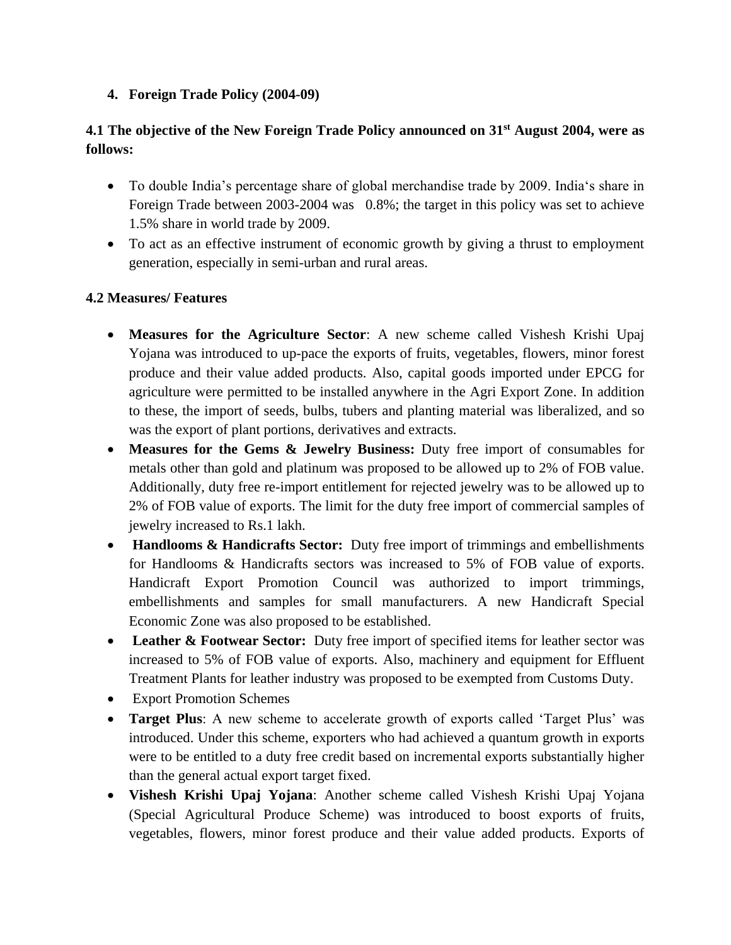### **4. Foreign Trade Policy (2004-09)**

## **4.1 The objective of the New Foreign Trade Policy announced on 31st August 2004, were as follows:**

- To double India's percentage share of global merchandise trade by 2009. India's share in Foreign Trade between 2003-2004 was 0.8%; the target in this policy was set to achieve 1.5% share in world trade by 2009.
- To act as an effective instrument of economic growth by giving a thrust to employment generation, especially in semi-urban and rural areas.

### **4.2 Measures/ Features**

- **Measures for the Agriculture Sector**: A new scheme called Vishesh Krishi Upaj Yojana was introduced to up-pace the exports of fruits, vegetables, flowers, minor forest produce and their value added products. Also, capital goods imported under EPCG for agriculture were permitted to be installed anywhere in the Agri Export Zone. In addition to these, the import of seeds, bulbs, tubers and planting material was liberalized, and so was the export of plant portions, derivatives and extracts.
- **Measures for the Gems & Jewelry Business:** Duty free import of consumables for metals other than gold and platinum was proposed to be allowed up to 2% of FOB value. Additionally, duty free re-import entitlement for rejected jewelry was to be allowed up to 2% of FOB value of exports. The limit for the duty free import of commercial samples of jewelry increased to Rs.1 lakh.
- **Handlooms & Handicrafts Sector:** Duty free import of trimmings and embellishments for Handlooms & Handicrafts sectors was increased to 5% of FOB value of exports. Handicraft Export Promotion Council was authorized to import trimmings, embellishments and samples for small manufacturers. A new Handicraft Special Economic Zone was also proposed to be established.
- **Leather & Footwear Sector:** Duty free import of specified items for leather sector was increased to 5% of FOB value of exports. Also, machinery and equipment for Effluent Treatment Plants for leather industry was proposed to be exempted from Customs Duty.
- Export Promotion Schemes
- **Target Plus**: A new scheme to accelerate growth of exports called 'Target Plus' was introduced. Under this scheme, exporters who had achieved a quantum growth in exports were to be entitled to a duty free credit based on incremental exports substantially higher than the general actual export target fixed.
- **Vishesh Krishi Upaj Yojana**: Another scheme called Vishesh Krishi Upaj Yojana (Special Agricultural Produce Scheme) was introduced to boost exports of fruits, vegetables, flowers, minor forest produce and their value added products. Exports of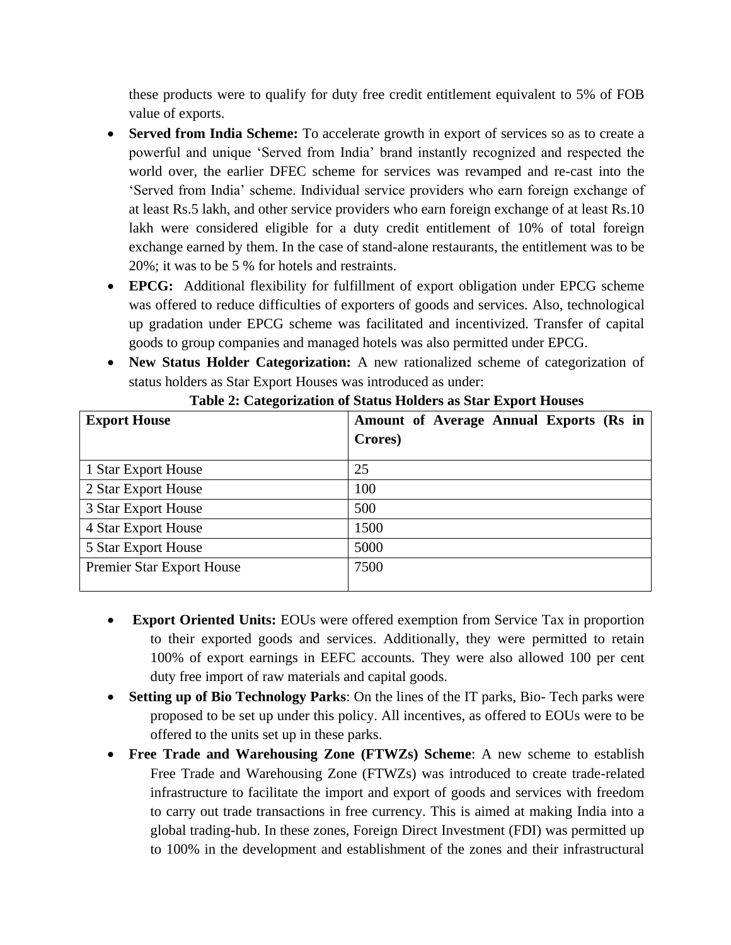these products were to qualify for duty free credit entitlement equivalent to 5% of FOB value of exports.

- **Served from India Scheme:** To accelerate growth in export of services so as to create a powerful and unique 'Served from India' brand instantly recognized and respected the world over, the earlier DFEC scheme for services was revamped and re-cast into the 'Served from India' scheme. Individual service providers who earn foreign exchange of at least Rs.5 lakh, and other service providers who earn foreign exchange of at least Rs.10 lakh were considered eligible for a duty credit entitlement of 10% of total foreign exchange earned by them. In the case of stand-alone restaurants, the entitlement was to be 20%; it was to be 5 % for hotels and restraints.
- **EPCG:** Additional flexibility for fulfillment of export obligation under EPCG scheme was offered to reduce difficulties of exporters of goods and services. Also, technological up gradation under EPCG scheme was facilitated and incentivized. Transfer of capital goods to group companies and managed hotels was also permitted under EPCG.
- **New Status Holder Categorization:** A new rationalized scheme of categorization of status holders as Star Export Houses was introduced as under:

| <b>Export House</b>       | Amount of Average Annual Exports (Rs in<br>Crores) |
|---------------------------|----------------------------------------------------|
| 1 Star Export House       | 25                                                 |
| 2 Star Export House       | 100                                                |
| 3 Star Export House       | 500                                                |
| 4 Star Export House       | 1500                                               |
| 5 Star Export House       | 5000                                               |
| Premier Star Export House | 7500                                               |

|  |  | Table 2: Categorization of Status Holders as Star Export Houses |  |  |
|--|--|-----------------------------------------------------------------|--|--|
|  |  |                                                                 |  |  |

- **Export Oriented Units:** EOUs were offered exemption from Service Tax in proportion to their exported goods and services. Additionally, they were permitted to retain 100% of export earnings in EEFC accounts. They were also allowed 100 per cent duty free import of raw materials and capital goods.
- **Setting up of Bio Technology Parks**: On the lines of the IT parks, Bio- Tech parks were proposed to be set up under this policy. All incentives, as offered to EOUs were to be offered to the units set up in these parks.
- **Free Trade and Warehousing Zone (FTWZs) Scheme**: A new scheme to establish Free Trade and Warehousing Zone (FTWZs) was introduced to create trade-related infrastructure to facilitate the import and export of goods and services with freedom to carry out trade transactions in free currency. This is aimed at making India into a global trading-hub. In these zones, Foreign Direct Investment (FDI) was permitted up to 100% in the development and establishment of the zones and their infrastructural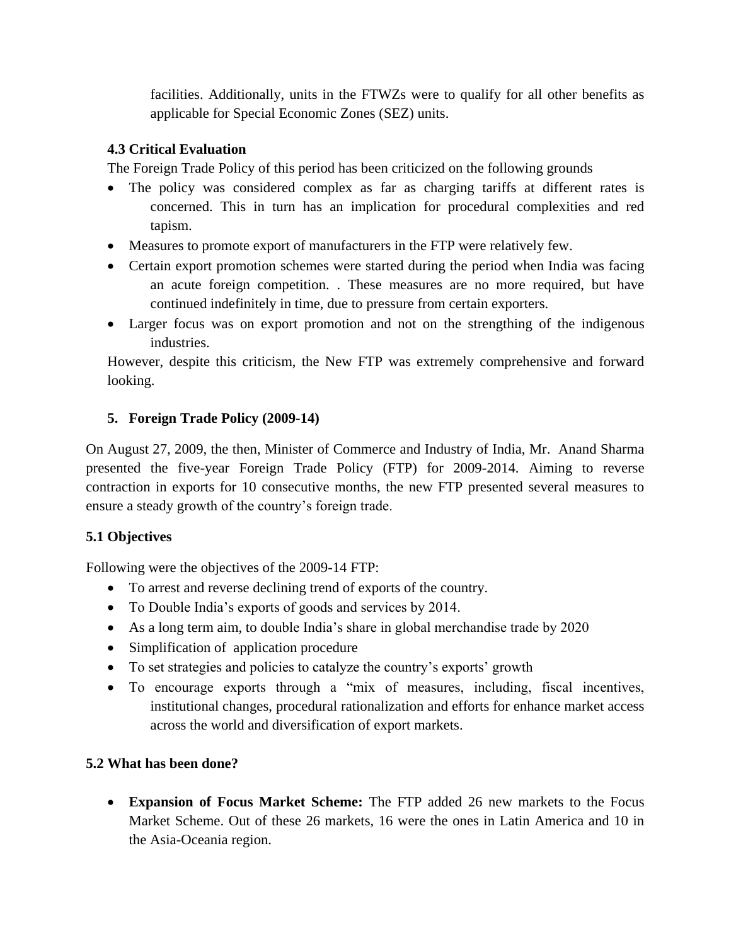facilities. Additionally, units in the FTWZs were to qualify for all other benefits as applicable for Special Economic Zones (SEZ) units.

## **4.3 Critical Evaluation**

The Foreign Trade Policy of this period has been criticized on the following grounds

- The policy was considered complex as far as charging tariffs at different rates is concerned. This in turn has an implication for procedural complexities and red tapism.
- Measures to promote export of manufacturers in the FTP were relatively few.
- Certain export promotion schemes were started during the period when India was facing an acute foreign competition. . These measures are no more required, but have continued indefinitely in time, due to pressure from certain exporters.
- Larger focus was on export promotion and not on the strengthing of the indigenous industries.

However, despite this criticism, the New FTP was extremely comprehensive and forward looking.

## **5. Foreign Trade Policy (2009-14)**

On August 27, 2009, the then, Minister of Commerce and Industry of India, Mr. Anand Sharma presented the five-year Foreign Trade Policy (FTP) for 2009-2014. Aiming to reverse contraction in exports for 10 consecutive months, the new FTP presented several measures to ensure a steady growth of the country's foreign trade.

## **5.1 Objectives**

Following were the objectives of the 2009-14 FTP:

- To arrest and reverse declining trend of exports of the country.
- To Double India's exports of goods and services by 2014.
- As a long term aim, to double India's share in global merchandise trade by 2020
- Simplification of application procedure
- To set strategies and policies to catalyze the country's exports' growth
- To encourage exports through a "mix of measures, including, fiscal incentives, institutional changes, procedural rationalization and efforts for enhance market access across the world and diversification of export markets.

## **5.2 What has been done?**

 **Expansion of Focus Market Scheme:** The FTP added 26 new markets to the Focus Market Scheme. Out of these 26 markets, 16 were the ones in Latin America and 10 in the Asia-Oceania region.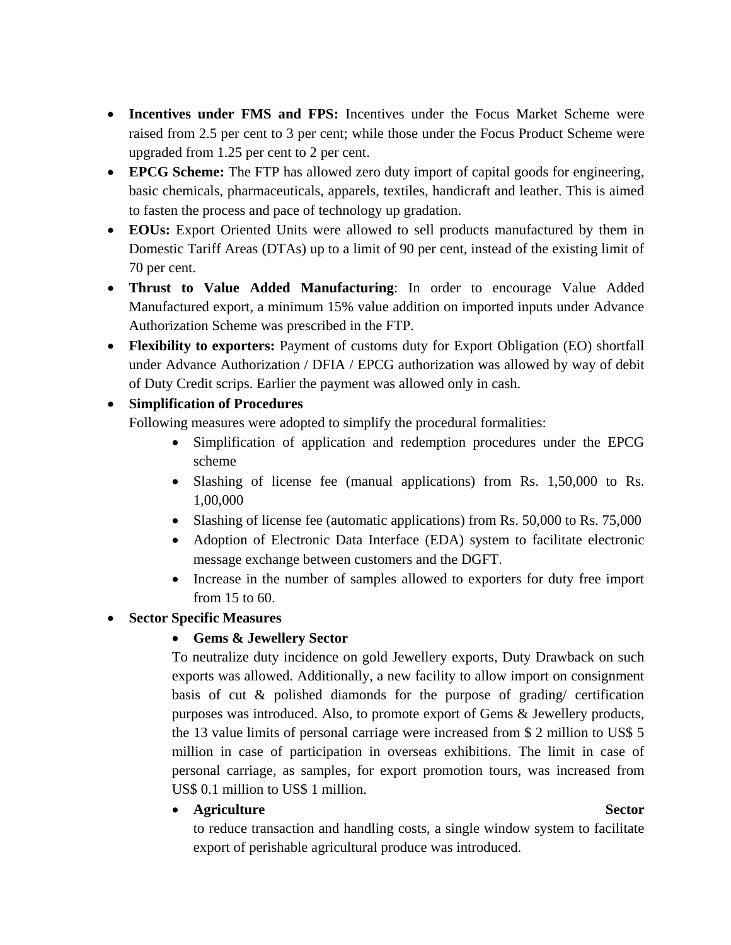- **Incentives under FMS and FPS:** Incentives under the Focus Market Scheme were raised from 2.5 per cent to 3 per cent; while those under the Focus Product Scheme were upgraded from 1.25 per cent to 2 per cent.
- **EPCG Scheme:** The FTP has allowed zero duty import of capital goods for engineering, basic chemicals, pharmaceuticals, apparels, textiles, handicraft and leather. This is aimed to fasten the process and pace of technology up gradation.
- **EOUs:** Export Oriented Units were allowed to sell products manufactured by them in Domestic Tariff Areas (DTAs) up to a limit of 90 per cent, instead of the existing limit of 70 per cent.
- **Thrust to Value Added Manufacturing**: In order to encourage Value Added Manufactured export, a minimum 15% value addition on imported inputs under Advance Authorization Scheme was prescribed in the FTP.
- **Flexibility to exporters:** Payment of customs duty for Export Obligation (EO) shortfall under Advance Authorization / DFIA / EPCG authorization was allowed by way of debit of Duty Credit scrips. Earlier the payment was allowed only in cash.

## **Simplification of Procedures**

Following measures were adopted to simplify the procedural formalities:

- Simplification of application and redemption procedures under the EPCG scheme
- Slashing of license fee (manual applications) from Rs. 1,50,000 to Rs. 1,00,000
- Slashing of license fee (automatic applications) from Rs. 50,000 to Rs. 75,000
- Adoption of Electronic Data Interface (EDA) system to facilitate electronic message exchange between customers and the DGFT.
- Increase in the number of samples allowed to exporters for duty free import from 15 to 60.

## **Sector Specific Measures**

## **Gems & Jewellery Sector**

To neutralize duty incidence on gold Jewellery exports, Duty Drawback on such exports was allowed. Additionally, a new facility to allow import on consignment basis of cut & polished diamonds for the purpose of grading/ certification purposes was introduced. Also, to promote export of Gems & Jewellery products, the 13 value limits of personal carriage were increased from \$ 2 million to US\$ 5 million in case of participation in overseas exhibitions. The limit in case of personal carriage, as samples, for export promotion tours, was increased from US\$ 0.1 million to US\$ 1 million.

**•** Agriculture Sector

to reduce transaction and handling costs, a single window system to facilitate export of perishable agricultural produce was introduced.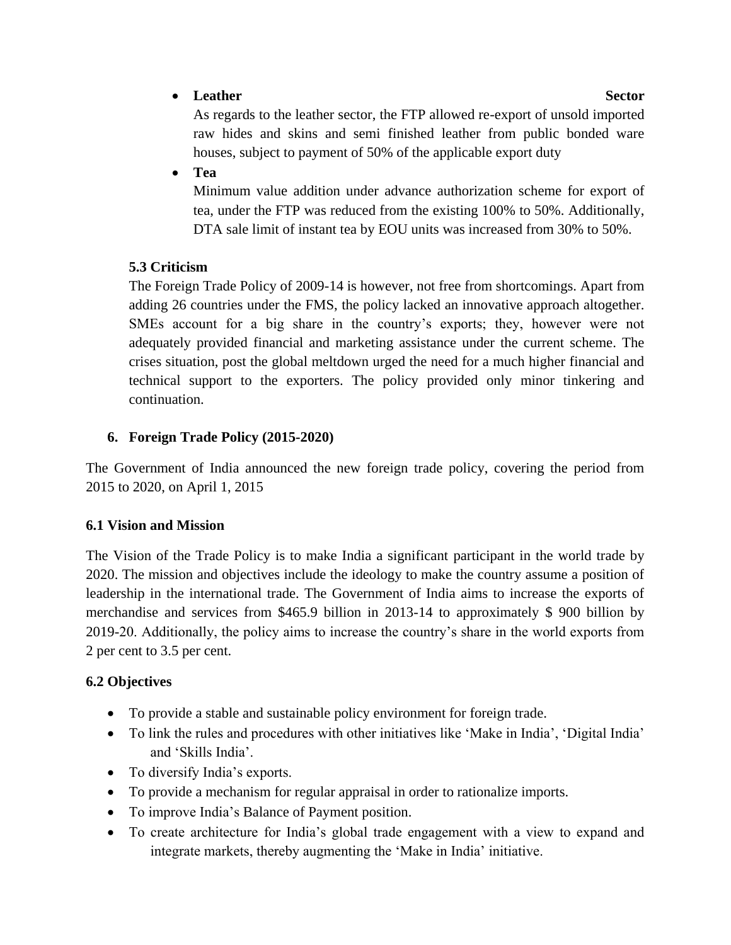## **•** Leather Sector

As regards to the leather sector, the FTP allowed re-export of unsold imported raw hides and skins and semi finished leather from public bonded ware houses, subject to payment of 50% of the applicable export duty

**Tea**

Minimum value addition under advance authorization scheme for export of tea, under the FTP was reduced from the existing 100% to 50%. Additionally, DTA sale limit of instant tea by EOU units was increased from 30% to 50%.

## **5.3 Criticism**

The Foreign Trade Policy of 2009-14 is however, not free from shortcomings. Apart from adding 26 countries under the FMS, the policy lacked an innovative approach altogether. SMEs account for a big share in the country's exports; they, however were not adequately provided financial and marketing assistance under the current scheme. The crises situation, post the global meltdown urged the need for a much higher financial and technical support to the exporters. The policy provided only minor tinkering and continuation.

## **6. Foreign Trade Policy (2015-2020)**

The Government of India announced the new foreign trade policy, covering the period from 2015 to 2020, on April 1, 2015

# **6.1 Vision and Mission**

The Vision of the Trade Policy is to make India a significant participant in the world trade by 2020. The mission and objectives include the ideology to make the country assume a position of leadership in the international trade. The Government of India aims to increase the exports of merchandise and services from \$465.9 billion in 2013-14 to approximately \$ 900 billion by 2019-20. Additionally, the policy aims to increase the country's share in the world exports from 2 per cent to 3.5 per cent.

# **6.2 Objectives**

- To provide a stable and sustainable policy environment for foreign trade.
- To link the rules and procedures with other initiatives like 'Make in India', 'Digital India' and 'Skills India'.
- To diversify India's exports.
- To provide a mechanism for regular appraisal in order to rationalize imports.
- To improve India's Balance of Payment position.
- To create architecture for India's global trade engagement with a view to expand and integrate markets, thereby augmenting the 'Make in India' initiative.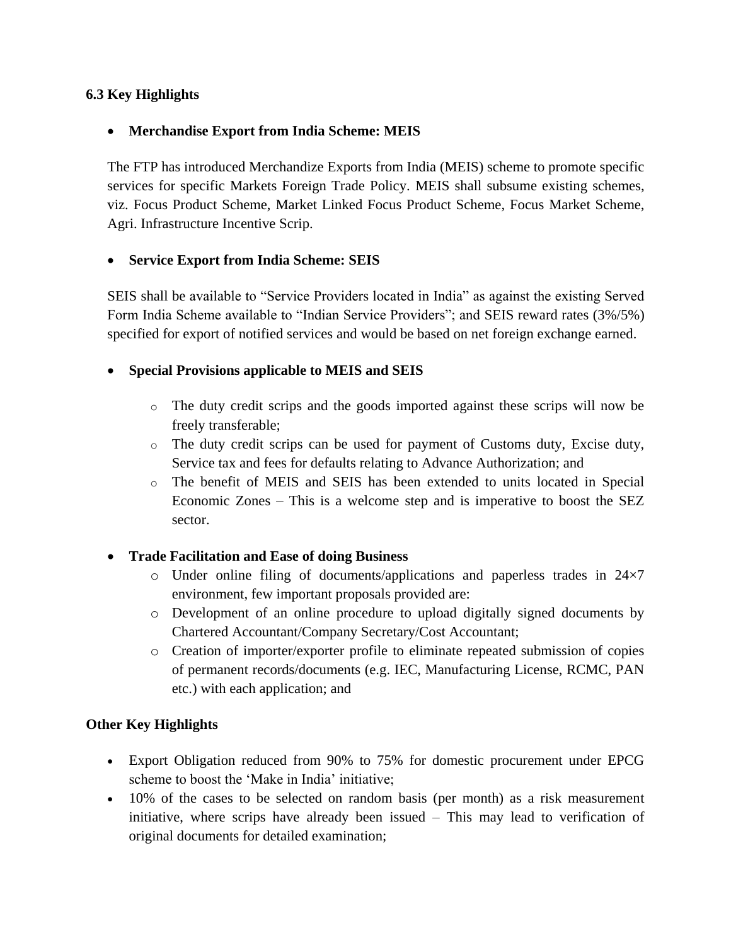### **6.3 Key Highlights**

#### **Merchandise Export from India Scheme: MEIS**

The FTP has introduced Merchandize Exports from India (MEIS) scheme to promote specific services for specific Markets Foreign Trade Policy. MEIS shall subsume existing schemes, viz. Focus Product Scheme, Market Linked Focus Product Scheme, Focus Market Scheme, Agri. Infrastructure Incentive Scrip.

#### **Service Export from India Scheme: SEIS**

SEIS shall be available to "Service Providers located in India" as against the existing Served Form India Scheme available to "Indian Service Providers"; and SEIS reward rates (3%/5%) specified for export of notified services and would be based on net foreign exchange earned.

### **Special Provisions applicable to MEIS and SEIS**

- o The duty credit scrips and the goods imported against these scrips will now be freely transferable;
- o The duty credit scrips can be used for payment of Customs duty, Excise duty, Service tax and fees for defaults relating to Advance Authorization; and
- o The benefit of MEIS and SEIS has been extended to units located in Special Economic Zones – This is a welcome step and is imperative to boost the SEZ sector.

## **Trade Facilitation and Ease of doing Business**

- o Under online filing of documents/applications and paperless trades in 24×7 environment, few important proposals provided are:
- o Development of an online procedure to upload digitally signed documents by Chartered Accountant/Company Secretary/Cost Accountant;
- o Creation of importer/exporter profile to eliminate repeated submission of copies of permanent records/documents (e.g. IEC, Manufacturing License, RCMC, PAN etc.) with each application; and

#### **Other Key Highlights**

- Export Obligation reduced from 90% to 75% for domestic procurement under EPCG scheme to boost the 'Make in India' initiative;
- 10% of the cases to be selected on random basis (per month) as a risk measurement initiative, where scrips have already been issued – This may lead to verification of original documents for detailed examination;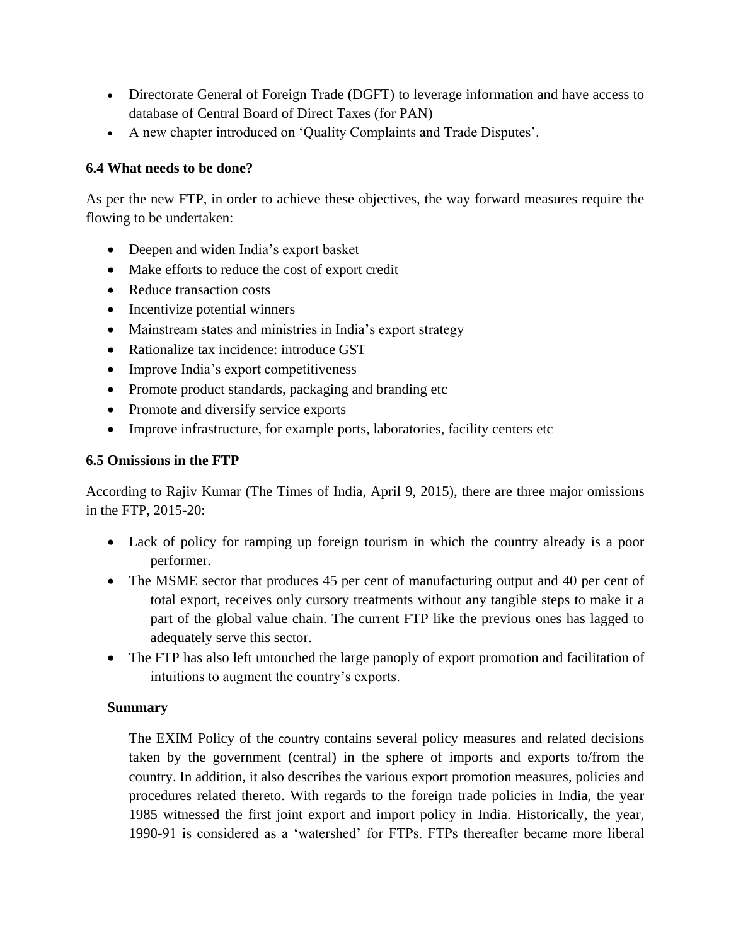- Directorate General of Foreign Trade (DGFT) to leverage information and have access to database of Central Board of Direct Taxes (for PAN)
- A new chapter introduced on 'Quality Complaints and Trade Disputes'.

### **6.4 What needs to be done?**

As per the new FTP, in order to achieve these objectives, the way forward measures require the flowing to be undertaken:

- Deepen and widen India's export basket
- Make efforts to reduce the cost of export credit
- Reduce transaction costs
- Incentivize potential winners
- Mainstream states and ministries in India's export strategy
- Rationalize tax incidence: introduce GST
- Improve India's export competitiveness
- Promote product standards, packaging and branding etc
- Promote and diversify service exports
- Improve infrastructure, for example ports, laboratories, facility centers etc

#### **6.5 Omissions in the FTP**

According to Rajiv Kumar (The Times of India, April 9, 2015), there are three major omissions in the FTP, 2015-20:

- Lack of policy for ramping up foreign tourism in which the country already is a poor performer.
- The MSME sector that produces 45 per cent of manufacturing output and 40 per cent of total export, receives only cursory treatments without any tangible steps to make it a part of the global value chain. The current FTP like the previous ones has lagged to adequately serve this sector.
- The FTP has also left untouched the large panoply of export promotion and facilitation of intuitions to augment the country's exports.

#### **Summary**

The [EXIM Policy of the](http://www.eximguru.com/exim/dgft/exim-policy/2008/default.aspx) country contains several policy measures and related decisions taken by the government (central) in the sphere of imports and exports to/from the country. In addition, it also describes the various [export promotion measures,](http://www.eximguru.com/exim/dgft/exim-policy/2008/chapter_3_promotional_measures.aspx) policies and procedures related thereto. With regards to the foreign trade policies in India, the year 1985 witnessed the first joint export and import policy in India. Historically, the year, 1990-91 is considered as a 'watershed' for FTPs. FTPs thereafter became more liberal